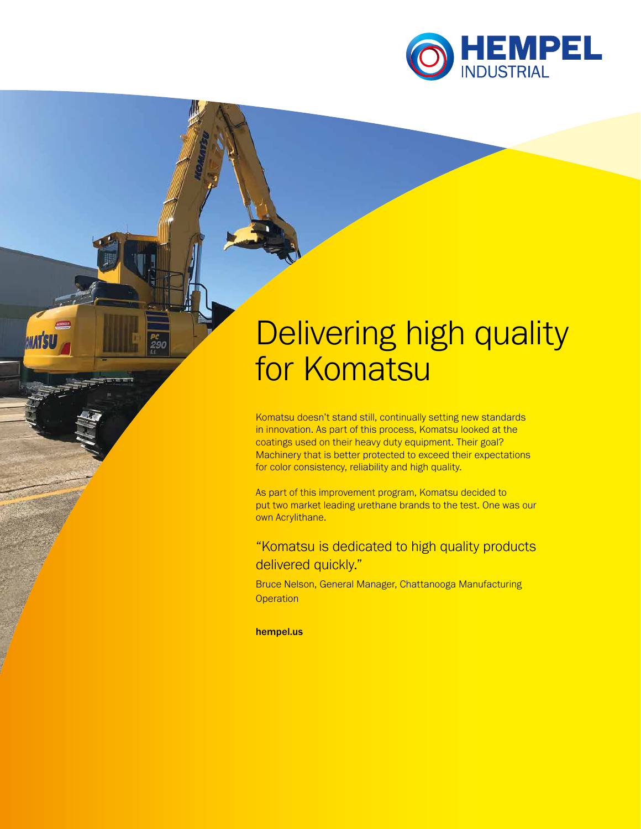

# Delivering high quality for Komatsu

Komatsu doesn't stand still, continually setting new standards in innovation. As part of this process, Komatsu looked at the coatings used on their heavy duty equipment. Their goal? Machinery that is better protected to exceed their expectations for color consistency, reliability and high quality.

As part of this improvement program, Komatsu decided to put two market leading urethane brands to the test. One was our own Acrylithane.

"Komatsu is dedicated to high quality products delivered quickly."

Bruce Nelson, General Manager, Chattanooga Manufacturing **Operation** 

hempel.us

**MATS**